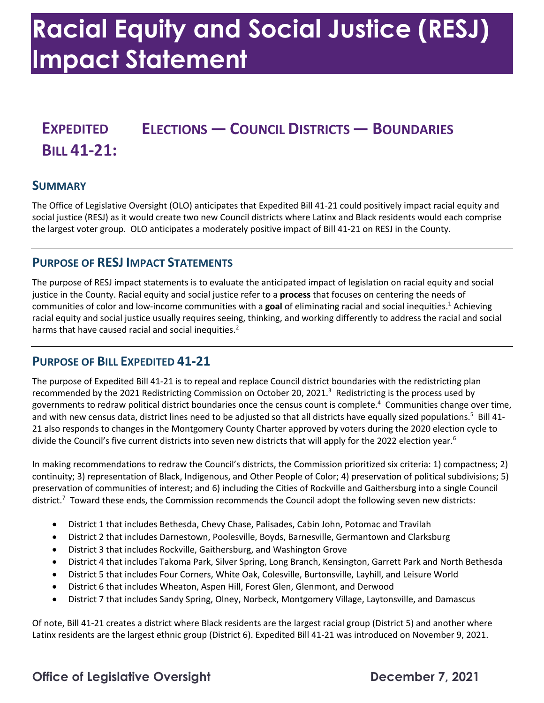# **Racial Equity and Social Justice (RESJ) Impact Statement**

# **EXPEDITED ELECTIONS — COUNCIL DISTRICTS — BOUNDARIES BILL 41-21:**

#### **SUMMARY**

 The Office of Legislative Oversight (OLO) anticipates that Expedited Bill 41-21 could positively impact racial equity and social justice (RESJ) as it would create two new Council districts where Latinx and Black residents would each comprise the largest voter group. OLO anticipates a moderately positive impact of Bill 41-21 on RESJ in the County.

# **PURPOSE OF RESJ IMPACT STATEMENTS**

 The purpose of RESJ impact statements is to evaluate the anticipated impact of legislation on racial equity and social justice in the County. Racial equity and social justice refer to a **process** that focuses on centering the needs of communities of color and low-income communities with a **goal** of eliminating racial and social inequities.1 Achieving racial equity and social justice usually requires seeing, thinking, and working differently to address the racial and social harms that have caused racial and social inequities. $2$ 

#### **PURPOSE OF BILL EXPEDITED 41-21**

 The purpose of Expedited Bill 41-21 is to repeal and replace Council district boundaries with the redistricting plan recommended by the 2021 Redistricting Commission on October 20, 2021.<sup>3</sup> Redistricting is the process used by governments to redraw political district boundaries once the census count is complete.<sup>4</sup> Communities change over time, and with new census data, district lines need to be adjusted so that all districts have equally sized populations.<sup>5</sup> Bill 41- 21 also responds to changes in the Montgomery County Charter approved by voters during the 2020 election cycle to divide the Council's five current districts into seven new districts that will apply for the 2022 election year.<sup>6</sup>

 continuity; 3) representation of Black, Indigenous, and Other People of Color; 4) preservation of political subdivisions; 5) preservation of communities of interest; and 6) including the Cities of Rockville and Gaithersburg into a single Council district.<sup>7</sup> Toward these ends, the Commission recommends the Council adopt the following seven new districts: In making recommendations to redraw the Council's districts, the Commission prioritized six criteria: 1) compactness; 2)

- District 1 that includes Bethesda, Chevy Chase, Palisades, Cabin John, Potomac and Travilah
- District 2 that includes Darnestown, Poolesville, Boyds, Barnesville, Germantown and Clarksburg
- District 3 that includes Rockville, Gaithersburg, and Washington Grove
- District 4 that includes Takoma Park, Silver Spring, Long Branch, Kensington, Garrett Park and North Bethesda
- District 5 that includes Four Corners, White Oak, Colesville, Burtonsville, Layhill, and Leisure World
- District 6 that includes Wheaton, Aspen Hill, Forest Glen, Glenmont, and Derwood
- District 7 that includes Sandy Spring, Olney, Norbeck, Montgomery Village, Laytonsville, and Damascus

 Of note, Bill 41-21 creates a district where Black residents are the largest racial group (District 5) and another where Latinx residents are the largest ethnic group (District 6). Expedited Bill 41-21 was introduced on November 9, 2021.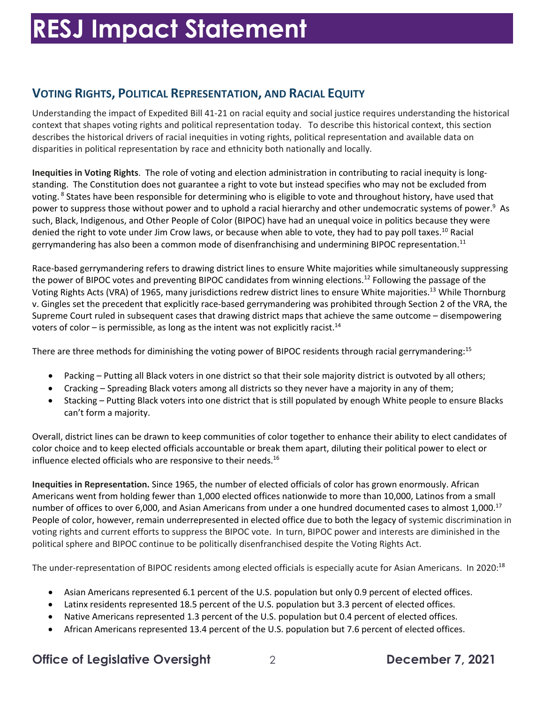# **VOTING RIGHTS, POLITICAL REPRESENTATION, AND RACIAL EQUITY**

 Understanding the impact of Expedited Bill 41-21 on racial equity and social justice requires understanding the historical context that shapes voting rights and political representation today. To describe this historical context, this section describes the historical drivers of racial inequities in voting rights, political representation and available data on disparities in political representation by race and ethnicity both nationally and locally.

 **Inequities in Voting Rights**. The role of voting and election administration in contributing to racial inequity is long- standing. The Constitution does not guarantee a right to vote but instead specifies who may not be excluded from voting. <sup>8</sup> States have been responsible for determining who is eligible to vote and throughout history, have used that power to suppress those without power and to uphold a racial hierarchy and other undemocratic systems of power.<sup>9</sup> As such, Black, Indigenous, and Other People of Color (BIPOC) have had an unequal voice in politics because they were denied the right to vote under Jim Crow laws, or because when able to vote, they had to pay poll [taxes.](https://taxes.10)<sup>10</sup> Racial gerrymandering has also been a common mode of disenfranchising and undermining BIPOC representation.<sup>11</sup>

 Race-based gerrymandering refers to drawing district lines to ensure White majorities while simultaneously suppressing the power of BIPOC votes and preventing BIPOC candidates from winning elections.<sup>12</sup> Following the passage of the Voting Rights Acts (VRA) of 1965, many jurisdictions redrew district lines to ensure White majorities.<sup>13</sup> While Thornburg v. Gingles set the precedent that explicitly race-based gerrymandering was prohibited through Section 2 of the VRA, the Supreme Court ruled in subsequent cases that drawing district maps that achieve the same outcome – disempowering voters of color – is permissible, as long as the intent was not explicitly racist.<sup>14</sup>

There are three methods for diminishing the voting power of BIPOC residents through racial gerrymandering:<sup>15</sup>

- Packing Putting all Black voters in one district so that their sole majority district is outvoted by all others;
- Cracking Spreading Black voters among all districts so they never have a majority in any of them;
- • Stacking Putting Black voters into one district that is still populated by enough White people to ensure Blacks can't form a majority.

 Overall, district lines can be drawn to keep communities of color together to enhance their ability to elect candidates of influence elected officials who are responsive to their needs. $^{16}$ color choice and to keep elected officials accountable or break them apart, diluting their political power to elect or

 **Inequities in Representation.** Since 1965, the number of elected officials of color has grown enormously. African Americans went from holding fewer than 1,000 elected offices nationwide to more than 10,000, Latinos from a small number of offices to over 6,000, and Asian Americans from under a one hundred documented cases to almost 1,000.<sup>17</sup> People of color, however, remain underrepresented in elected office due to both the legacy of systemic discrimination in voting rights and current efforts to suppress the BIPOC vote. In turn, BIPOC power and interests are diminished in the political sphere and BIPOC continue to be politically disenfranchised despite the Voting Rights Act.

The under-representation of BIPOC residents among elected officials is especially acute for Asian Americans. In 2020:<sup>18</sup>

- Asian Americans represented 6.1 percent of the U.S. population but only 0.9 percent of elected offices.
- Latinx residents represented 18.5 percent of the U.S. population but 3.3 percent of elected offices.
- Native Americans represented 1.3 percent of the U.S. population but 0.4 percent of elected offices.
- African Americans represented 13.4 percent of the U.S. population but 7.6 percent of elected offices.

# **Office of Legislative Oversight** 2 **December 7, 2021**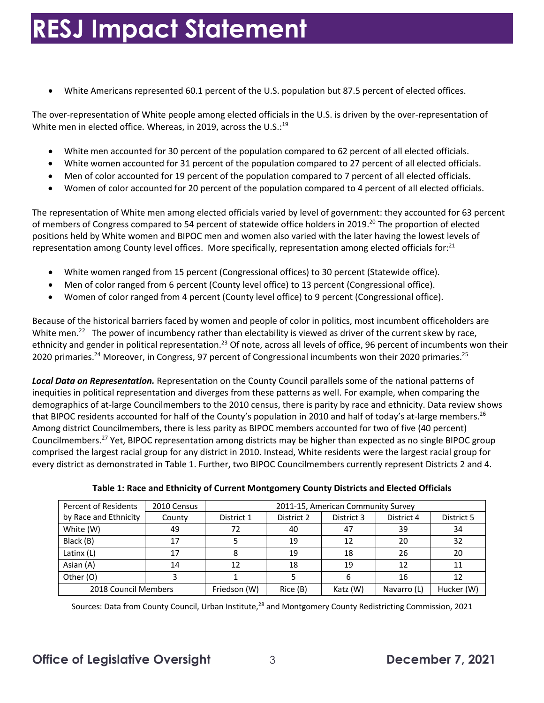• White Americans represented 60.1 percent of the U.S. population but 87.5 percent of elected offices.

 The over-representation of White people among elected officials in the U.S. is driven by the over-representation of White men in elected office. Whereas, in 2019, across the U.S.:<sup>19</sup>

- White men accounted for 30 percent of the population compared to 62 percent of all elected officials.
- White women accounted for 31 percent of the population compared to 27 percent of all elected officials.
- Men of color accounted for 19 percent of the population compared to 7 percent of all elected officials.
- Women of color accounted for 20 percent of the population compared to 4 percent of all elected officials.

 The representation of White men among elected officials varied by level of government: they accounted for 63 percent of members of Congress compared to 54 percent of statewide office holders in 2019.<sup>20</sup> The proportion of elected positions held by White women and BIPOC men and women also varied with the later having the lowest levels of representation among County level offices. More specifically, representation among elected officials for:<sup>21</sup>

- White women ranged from 15 percent (Congressional offices) to 30 percent (Statewide office).
- Men of color ranged from 6 percent (County level office) to 13 percent (Congressional office).
- Women of color ranged from 4 percent (County level office) to 9 percent (Congressional office).

 Because of the historical barriers faced by women and people of color in politics, most incumbent officeholders are White men.<sup>22</sup> The power of incumbency rather than electability is viewed as driver of the current skew by race, ethnicity and gender in political representation.<sup>23</sup> Of note, across all levels of office, 96 percent of incumbents won their 2020 primaries.<sup>24</sup> Moreover, in Congress, 97 percent of Congressional incumbents won their 2020 primaries.<sup>25</sup>

 *Local Data on Representation.* Representation on the County Council parallels some of the national patterns of inequities in political representation and diverges from these patterns as well. For example, when comparing the demographics of at-large Councilmembers to the 2010 census, there is parity by race and ethnicity. Data review shows that BIPOC residents accounted for half of the County's population in 2010 and half of today's at-large [members.](https://members.26)<sup>26</sup> Among district Councilmembers, there is less parity as BIPOC members accounted for two of five (40 percent) every district as demonstrated in Table 1. Further, two BIPOC Councilmembers currently represent Districts 2 and 4. [Councilmembers.](https://Councilmembers.27)<sup>27</sup> Yet, BIPOC representation among districts may be higher than expected as no single BIPOC group comprised the largest racial group for any district in 2010. Instead, White residents were the largest racial group for

| <b>Percent of Residents</b> | 2010 Census | 2011-15, American Community Survey |            |            |             |            |  |  |
|-----------------------------|-------------|------------------------------------|------------|------------|-------------|------------|--|--|
| by Race and Ethnicity       | County      | District 1                         | District 2 | District 3 | District 4  | District 5 |  |  |
| White (W)                   | 49          | 72                                 | 40         | 47         | 39          | 34         |  |  |
| Black (B)                   | 17          |                                    | 19         | 12         | 20          | 32         |  |  |
| Latinx (L)                  | 17          |                                    | 19         | 18         | 26          | 20         |  |  |
| Asian (A)                   | 14          | 12                                 | 18         | 19         | 12          | 11         |  |  |
| Other (O)                   |             |                                    |            | 6          | 16          | 12         |  |  |
| 2018 Council Members        |             | Friedson (W)                       | Rice (B)   | Katz (W)   | Navarro (L) | Hucker (W) |  |  |

Sources: Data from County Council, Urban Institute,<sup>28</sup> and Montgomery County Redistricting Commission, 2021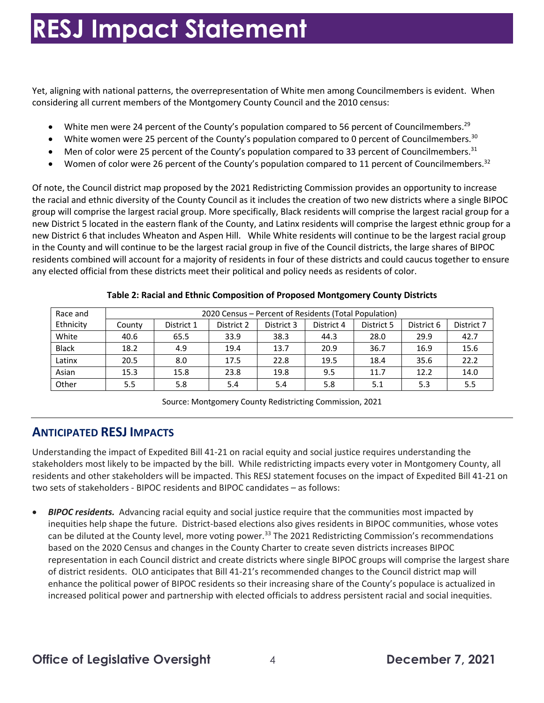Yet, aligning with national patterns, the overrepresentation of White men among Councilmembers is evident. When considering all current members of the Montgomery County Council and the 2010 census:

- White men were 24 percent of the County's population compared to 56 percent of [Councilmembers.](https://Councilmembers.29)<sup>29</sup>
- White women were 25 percent of the County's population compared to 0 percent of [Councilmembers.](https://Councilmembers.30)<sup>30</sup>
- Men of color were 25 percent of the County's population compared to 33 percent of [Councilmembers.](https://Councilmembers.31)<sup>31</sup>
- Women of color were 26 percent of the County's population compared to 11 percent of [Councilmembers.](https://Councilmembers.32)<sup>32</sup>

 Of note, the Council district map proposed by the 2021 Redistricting Commission provides an opportunity to increase the racial and ethnic diversity of the County Council as it includes the creation of two new districts where a single BIPOC group will comprise the largest racial group. More specifically, Black residents will comprise the largest racial group for a new District 5 located in the eastern flank of the County, and Latinx residents will comprise the largest ethnic group for a new District 6 that includes Wheaton and Aspen Hill. While White residents will continue to be the largest racial group in the County and will continue to be the largest racial group in five of the Council districts, the large shares of BIPOC any elected official from these districts meet their political and policy needs as residents of color. residents combined will account for a majority of residents in four of these districts and could caucus together to ensure

| Race and     | 2020 Census - Percent of Residents (Total Population) |            |            |            |            |            |            |            |  |  |
|--------------|-------------------------------------------------------|------------|------------|------------|------------|------------|------------|------------|--|--|
| Ethnicity    | County                                                | District 1 | District 2 | District 3 | District 4 | District 5 | District 6 | District 7 |  |  |
| White        | 40.6                                                  | 65.5       | 33.9       | 38.3       | 44.3       | 28.0       | 29.9       | 42.7       |  |  |
| <b>Black</b> | 18.2                                                  | 4.9        | 19.4       | 13.7       | 20.9       | 36.7       | 16.9       | 15.6       |  |  |
| Latinx       | 20.5                                                  | 8.0        | 17.5       | 22.8       | 19.5       | 18.4       | 35.6       | 22.2       |  |  |
| Asian        | 15.3                                                  | 15.8       | 23.8       | 19.8       | 9.5        | 11.7       | 12.2       | 14.0       |  |  |
| Other        | 5.5                                                   | 5.8        | 5.4        | 5.4        | 5.8        | 5.1        | 5.3        | 5.5        |  |  |

#### **Table 2: Racial and Ethnic Composition of Proposed Montgomery County Districts**

Source: Montgomery County Redistricting Commission, 2021

# **ANTICIPATED RESJ IMPACTS**

 Understanding the impact of Expedited Bill 41-21 on racial equity and social justice requires understanding the stakeholders most likely to be impacted by the bill. While redistricting impacts every voter in Montgomery County, all residents and other stakeholders will be impacted. This RESJ statement focuses on the impact of Expedited Bill 41-21 on two sets of stakeholders - BIPOC residents and BIPOC candidates – as follows:

 • *BIPOC residents.* Advancing racial equity and social justice require that the communities most impacted by inequities help shape the future. District-based elections also gives residents in BIPOC communities, whose votes can be diluted at the County level, more voting power.<sup>33</sup> The 2021 Redistricting Commission's recommendations based on the 2020 Census and changes in the County Charter to create seven districts increases BIPOC representation in each Council district and create districts where single BIPOC groups will comprise the largest share of district residents. OLO anticipates that Bill 41-21's recommended changes to the Council district map will enhance the political power of BIPOC residents so their increasing share of the County's populace is actualized in increased political power and partnership with elected officials to address persistent racial and social inequities.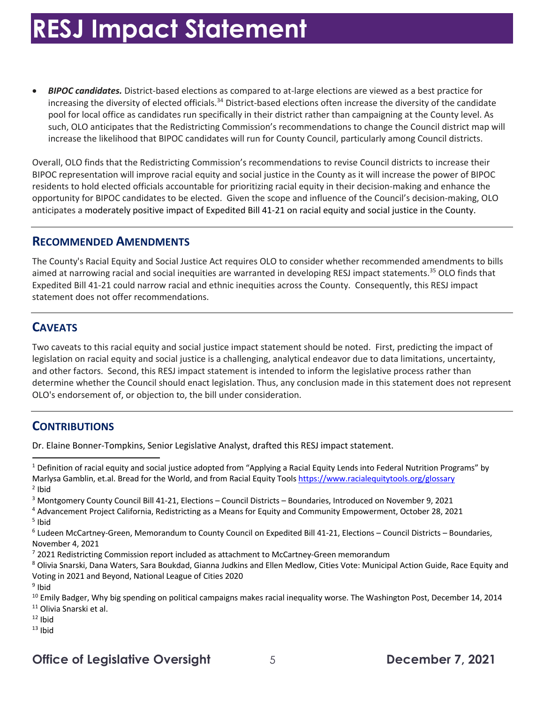increasing the diversity of elected officials.<sup>34</sup> District-based elections often increase the diversity of the candidate pool for local office as candidates run specifically in their district rather than campaigning at the County level. As such, OLO anticipates that the Redistricting Commission's recommendations to change the Council district map will • *BIPOC candidates.* District-based elections as compared to at-large elections are viewed as a best practice for increase the likelihood that BIPOC candidates will run for County Council, particularly among Council districts.

 Overall, OLO finds that the Redistricting Commission's recommendations to revise Council districts to increase their BIPOC representation will improve racial equity and social justice in the County as it will increase the power of BIPOC residents to hold elected officials accountable for prioritizing racial equity in their decision-making and enhance the opportunity for BIPOC candidates to be elected. Given the scope and influence of the Council's decision-making, OLO anticipates a moderately positive impact of Expedited Bill 41-21 on racial equity and social justice in the County.

#### **RECOMMENDED AMENDMENTS**

 The County's Racial Equity and Social Justice Act requires OLO to consider whether recommended amendments to bills aimed at narrowing racial and social inequities are warranted in developing RESJ impact statements.<sup>35</sup> OLO finds that Expedited Bill 41-21 could narrow racial and ethnic inequities across the County. Consequently, this RESJ impact statement does not offer recommendations.

#### **CAVEATS**

 Two caveats to this racial equity and social justice impact statement should be noted. First, predicting the impact of and other factors. Second, this RESJ impact statement is intended to inform the legislative process rather than determine whether the Council should enact legislation. Thus, any conclusion made in this statement does not represent OLO's endorsement of, or objection to, the bill under consideration. legislation on racial equity and social justice is a challenging, analytical endeavor due to data limitations, uncertainty,

# **CONTRIBUTIONS**

Dr. Elaine Bonner-Tompkins, Senior Legislative Analyst, drafted this RESJ impact statement.

- <sup>11</sup> Olivia Snarski et al.
- $12$  Ibid
- $13$  Ibid

 $1$  Definition of racial equity and social justice adopted from "Applying a Racial Equity Lends into Federal Nutrition Programs" by Marlysa Gamblin, et.al. Bread for the World, and from Racial Equity Tools <u>https://www.racialequitytools.org/glossary</u><br><sup>2</sup> Ibid  $2$  Ibid

<sup>&</sup>lt;sup>3</sup> Montgomery County Council Bill 41-21, Elections - Council Districts - Boundaries, Introduced on November 9, 2021

 $<sup>5</sup>$  Ibid</sup> <sup>3</sup> Montgomery County Council Bill 41-21, Elections – Council Districts – Boundaries, Introduced on November 9, 2021<br><sup>4</sup> Advancement Project California, Redistricting as a Means for Equity and Community Empowerment, Octobe

 $6$  Ludeen McCartney-Green, Memorandum to County Council on Expedited Bill 41-21, Elections – Council Districts – Boundaries, November 4, 2021

<sup>7 2021</sup> Redistricting Commission report included as attachment to McCartney-Green memorandum

<sup>&</sup>lt;sup>7</sup> 2021 Redistricting Commission report included as attachment to McCartney-Green memorandum<br><sup>8</sup> Olivia Snarski, Dana Waters, Sara Boukdad, Gianna Judkins and Ellen Medlow, Cities Vote: Municipal Action Guide, Race Equity Voting in 2021 and Beyond, National League of Cities 2020

 <sup>9</sup> Ibid

<sup>&</sup>lt;sup>10</sup> Emily Badger, Why big spending on political campaigns makes racial inequality worse. The Washington Post, December 14, 2014<br><sup>11</sup> Olivia Snarski et al.<br><sup>12</sup> Ibid